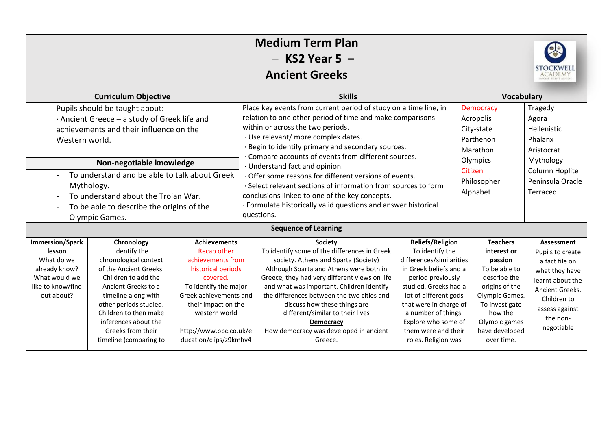| <b>Medium Term Plan</b><br>$-$ KS2 Year 5 $-$<br><b>STOCKWELI</b><br><b>Ancient Greeks</b><br>ACADEMY                                                                                                                                                                                                                                              |                                                                                                                                                                                                                                                                              |                                                                                                                                                                                                                                                 |                                                                                                                                                                                                                                                                                                                                                                                                                                                                                                                                                                                                                   |                                                                                                                                                                                                                                                                                                                                                                                                                                     |                                                                                                                                                                                                                                                                                               |                                                                                                             |                                                                                                                                                                                              |                                                                                                                                                                      |  |  |  |  |
|----------------------------------------------------------------------------------------------------------------------------------------------------------------------------------------------------------------------------------------------------------------------------------------------------------------------------------------------------|------------------------------------------------------------------------------------------------------------------------------------------------------------------------------------------------------------------------------------------------------------------------------|-------------------------------------------------------------------------------------------------------------------------------------------------------------------------------------------------------------------------------------------------|-------------------------------------------------------------------------------------------------------------------------------------------------------------------------------------------------------------------------------------------------------------------------------------------------------------------------------------------------------------------------------------------------------------------------------------------------------------------------------------------------------------------------------------------------------------------------------------------------------------------|-------------------------------------------------------------------------------------------------------------------------------------------------------------------------------------------------------------------------------------------------------------------------------------------------------------------------------------------------------------------------------------------------------------------------------------|-----------------------------------------------------------------------------------------------------------------------------------------------------------------------------------------------------------------------------------------------------------------------------------------------|-------------------------------------------------------------------------------------------------------------|----------------------------------------------------------------------------------------------------------------------------------------------------------------------------------------------|----------------------------------------------------------------------------------------------------------------------------------------------------------------------|--|--|--|--|
| <b>Curriculum Objective</b>                                                                                                                                                                                                                                                                                                                        |                                                                                                                                                                                                                                                                              |                                                                                                                                                                                                                                                 | <b>Skills</b>                                                                                                                                                                                                                                                                                                                                                                                                                                                                                                                                                                                                     |                                                                                                                                                                                                                                                                                                                                                                                                                                     |                                                                                                                                                                                                                                                                                               | <b>Vocabulary</b>                                                                                           |                                                                                                                                                                                              |                                                                                                                                                                      |  |  |  |  |
| Pupils should be taught about:<br>$\cdot$ Ancient Greece – a study of Greek life and<br>achievements and their influence on the<br>Western world.<br>Non-negotiable knowledge<br>To understand and be able to talk about Greek<br>Mythology.<br>To understand about the Trojan War.<br>To be able to describe the origins of the<br>Olympic Games. |                                                                                                                                                                                                                                                                              |                                                                                                                                                                                                                                                 | Place key events from current period of study on a time line, in<br>relation to one other period of time and make comparisons<br>within or across the two periods.<br>· Use relevant/ more complex dates.<br>Begin to identify primary and secondary sources.<br>Compare accounts of events from different sources.<br>· Understand fact and opinion.<br>Offer some reasons for different versions of events.<br>· Select relevant sections of information from sources to form<br>conclusions linked to one of the key concepts.<br>· Formulate historically valid questions and answer historical<br>questions. |                                                                                                                                                                                                                                                                                                                                                                                                                                     | Citizen                                                                                                                                                                                                                                                                                       | <b>Democracy</b><br>Acropolis<br>City-state<br>Parthenon<br>Marathon<br>Olympics<br>Philosopher<br>Alphabet | Tragedy<br>Agora<br>Hellenistic<br>Phalanx<br>Aristocrat<br>Mythology<br>Column Hoplite<br>Peninsula Oracle<br>Terraced                                                                      |                                                                                                                                                                      |  |  |  |  |
| <b>Sequence of Learning</b>                                                                                                                                                                                                                                                                                                                        |                                                                                                                                                                                                                                                                              |                                                                                                                                                                                                                                                 |                                                                                                                                                                                                                                                                                                                                                                                                                                                                                                                                                                                                                   |                                                                                                                                                                                                                                                                                                                                                                                                                                     |                                                                                                                                                                                                                                                                                               |                                                                                                             |                                                                                                                                                                                              |                                                                                                                                                                      |  |  |  |  |
| <b>Immersion/Spark</b><br>lesson<br>What do we<br>already know?<br>What would we<br>like to know/find<br>out about?                                                                                                                                                                                                                                | Chronology<br>Identify the<br>chronological context<br>of the Ancient Greeks.<br>Children to add the<br>Ancient Greeks to a<br>timeline along with<br>other periods studied.<br>Children to then make<br>inferences about the<br>Greeks from their<br>timeline (comparing to | <b>Achievements</b><br><b>Recap other</b><br>achievements from<br>historical periods<br>covered.<br>To identify the major<br>Greek achievements and<br>their impact on the<br>western world<br>http://www.bbc.co.uk/e<br>ducation/clips/z9kmhv4 |                                                                                                                                                                                                                                                                                                                                                                                                                                                                                                                                                                                                                   | <b>Society</b><br>To identify some of the differences in Greek<br>society. Athens and Sparta (Society)<br>Although Sparta and Athens were both in<br>Greece, they had very different views on life<br>and what was important. Children identify<br>the differences between the two cities and<br>discuss how these things are<br>different/similar to their lives<br>Democracy<br>How democracy was developed in ancient<br>Greece. | <b>Beliefs/Religion</b><br>To identify the<br>differences/similarities<br>in Greek beliefs and a<br>period previously<br>studied. Greeks had a<br>lot of different gods<br>that were in charge of<br>a number of things.<br>Explore who some of<br>them were and their<br>roles. Religion was |                                                                                                             | <b>Teachers</b><br>interest or<br>passion<br>To be able to<br>describe the<br>origins of the<br>Olympic Games.<br>To investigate<br>how the<br>Olympic games<br>have developed<br>over time. | Assessment<br>Pupils to create<br>a fact file on<br>what they have<br>learnt about the<br>Ancient Greeks.<br>Children to<br>assess against<br>the non-<br>negotiable |  |  |  |  |